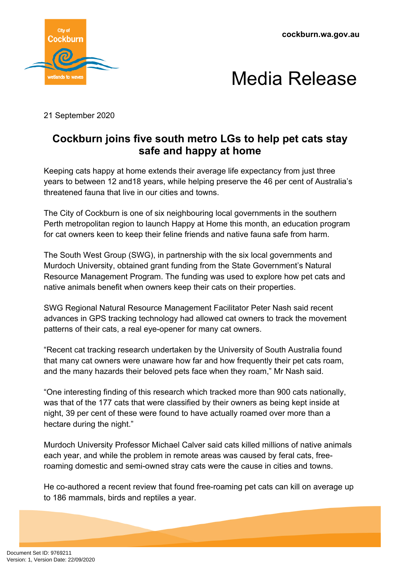**cockburn.wa.gov.au**





21 September 2020

## **Cockburn joins five south metro LGs to help pet cats stay safe and happy at home**

Keeping cats happy at home extends their average life expectancy from just three years to between 12 and18 years, while helping preserve the 46 per cent of Australia's threatened fauna that live in our cities and towns.

The City of Cockburn is one of six neighbouring local governments in the southern Perth metropolitan region to launch Happy at Home this month, an education program for cat owners keen to keep their feline friends and native fauna safe from harm.

The South West Group (SWG), in partnership with the six local governments and Murdoch University, obtained grant funding from the State Government's Natural Resource Management Program. The funding was used to explore how pet cats and native animals benefit when owners keep their cats on their properties.

SWG Regional Natural Resource Management Facilitator Peter Nash said recent advances in GPS tracking technology had allowed cat owners to track the movement patterns of their cats, a real eye-opener for many cat owners.

"Recent cat tracking research undertaken by the University of South Australia found that many cat owners were unaware how far and how frequently their pet cats roam, and the many hazards their beloved pets face when they roam," Mr Nash said.

"One interesting finding of this research which tracked more than 900 cats nationally, was that of the 177 cats that were classified by their owners as being kept inside at night, 39 per cent of these were found to have actually roamed over more than a hectare during the night."

Murdoch University Professor Michael Calver said cats killed millions of native animals each year, and while the problem in remote areas was caused by feral cats, freeroaming domestic and semi-owned stray cats were the cause in cities and towns.

He co-authored a recent review that found free-roaming pet cats can kill on average up to 186 mammals, birds and reptiles a year.

Document Set ID: 9769211<br>Version: 1, Version Date: 22/09/2020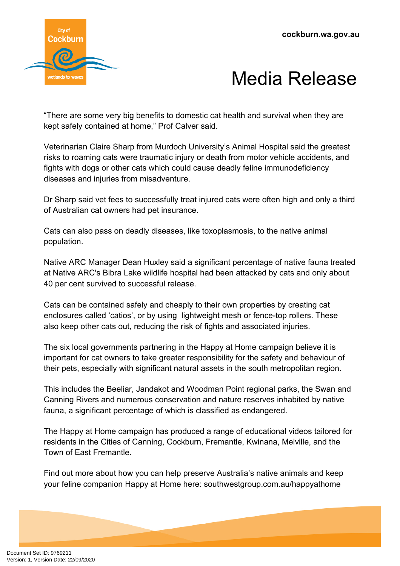



"There are some very big benefits to domestic cat health and survival when they are kept safely contained at home," Prof Calver said.

Veterinarian Claire Sharp from Murdoch University's Animal Hospital said the greatest risks to roaming cats were traumatic injury or death from motor vehicle accidents, and fights with dogs or other cats which could cause deadly feline immunodeficiency diseases and injuries from misadventure.

Dr Sharp said vet fees to successfully treat injured cats were often high and only a third of Australian cat owners had pet insurance.

Cats can also pass on deadly diseases, like toxoplasmosis, to the native animal population.

Native ARC Manager Dean Huxley said a significant percentage of native fauna treated at Native ARC's Bibra Lake wildlife hospital had been attacked by cats and only about 40 per cent survived to successful release.

Cats can be contained safely and cheaply to their own properties by creating cat enclosures called 'catios', or by using lightweight mesh or fence-top rollers. These also keep other cats out, reducing the risk of fights and associated injuries.

The six local governments partnering in the Happy at Home campaign believe it is important for cat owners to take greater responsibility for the safety and behaviour of their pets, especially with significant natural assets in the south metropolitan region.

This includes the Beeliar, Jandakot and Woodman Point regional parks, the Swan and Canning Rivers and numerous conservation and nature reserves inhabited by native fauna, a significant percentage of which is classified as endangered.

The Happy at Home campaign has produced a range of educational videos tailored for residents in the Cities of Canning, Cockburn, Fremantle, Kwinana, Melville, and the Town of East Fremantle.

Find out more about how you can help preserve Australia's native animals and keep your feline companion Happy at Home here: southwestgroup.com.au/happyathome

Document Set ID: 9769211<br>Version: 1, Version Date: 22/09/2020